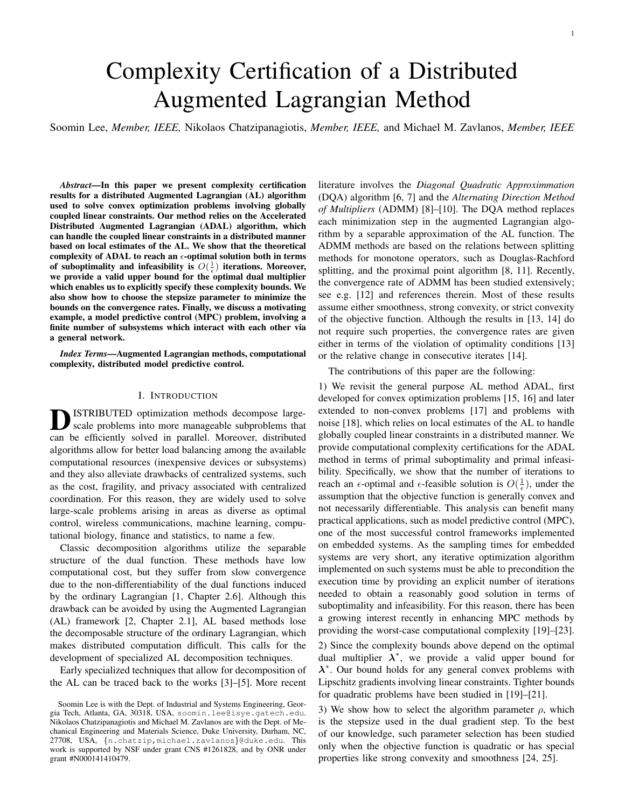# Complexity Certification of a Distributed Augmented Lagrangian Method

Soomin Lee, *Member, IEEE,* Nikolaos Chatzipanagiotis, *Member, IEEE,* and Michael M. Zavlanos, *Member, IEEE*

*Abstract*—In this paper we present complexity certification results for a distributed Augmented Lagrangian (AL) algorithm used to solve convex optimization problems involving globally coupled linear constraints. Our method relies on the Accelerated Distributed Augmented Lagrangian (ADAL) algorithm, which can handle the coupled linear constraints in a distributed manner based on local estimates of the AL. We show that the theoretical complexity of ADAL to reach an  $\epsilon$ -optimal solution both in terms of suboptimality and infeasibility is  $O(\frac{1}{\epsilon})$  iterations. Moreover, we provide a valid upper bound for the optimal dual multiplier which enables us to explicitly specify these complexity bounds. We also show how to choose the stepsize parameter to minimize the bounds on the convergence rates. Finally, we discuss a motivating example, a model predictive control (MPC) problem, involving a finite number of subsystems which interact with each other via a general network.

*Index Terms*—Augmented Lagrangian methods, computational complexity, distributed model predictive control.

#### I. INTRODUCTION

**D** ISTRIBUTED optimization methods decompose large-<br>scale problems into more manageable subproblems that<br>can be efficiently solved in parallel. Moreover, distributed ISTRIBUTED optimization methods decompose largescale problems into more manageable subproblems that algorithms allow for better load balancing among the available computational resources (inexpensive devices or subsystems) and they also alleviate drawbacks of centralized systems, such as the cost, fragility, and privacy associated with centralized coordination. For this reason, they are widely used to solve large-scale problems arising in areas as diverse as optimal control, wireless communications, machine learning, computational biology, finance and statistics, to name a few.

Classic decomposition algorithms utilize the separable structure of the dual function. These methods have low computational cost, but they suffer from slow convergence due to the non-differentiability of the dual functions induced by the ordinary Lagrangian [1, Chapter 2.6]. Although this drawback can be avoided by using the Augmented Lagrangian (AL) framework [2, Chapter 2.1], AL based methods lose the decomposable structure of the ordinary Lagrangian, which makes distributed computation difficult. This calls for the development of specialized AL decomposition techniques.

Early specialized techniques that allow for decomposition of the AL can be traced back to the works [3]–[5]. More recent literature involves the *Diagonal Quadratic Approximmation* (DQA) algorithm [6, 7] and the *Alternating Direction Method of Multipliers* (ADMM) [8]–[10]. The DQA method replaces each minimization step in the augmented Lagrangian algorithm by a separable approximation of the AL function. The ADMM methods are based on the relations between splitting methods for monotone operators, such as Douglas-Rachford splitting, and the proximal point algorithm [8, 11]. Recently, the convergence rate of ADMM has been studied extensively; see e.g. [12] and references therein. Most of these results assume either smoothness, strong convexity, or strict convexity of the objective function. Although the results in [13, 14] do not require such properties, the convergence rates are given either in terms of the violation of optimality conditions [13] or the relative change in consecutive iterates [14].

The contributions of this paper are the following:

1) We revisit the general purpose AL method ADAL, first developed for convex optimization problems [15, 16] and later extended to non-convex problems [17] and problems with noise [18], which relies on local estimates of the AL to handle globally coupled linear constraints in a distributed manner. We provide computational complexity certifications for the ADAL method in terms of primal suboptimality and primal infeasibility. Specifically, we show that the number of iterations to reach an  $\epsilon$ -optimal and  $\epsilon$ -feasible solution is  $O(\frac{1}{\epsilon})$ , under the assumption that the objective function is generally convex and not necessarily differentiable. This analysis can benefit many practical applications, such as model predictive control (MPC), one of the most successful control frameworks implemented on embedded systems. As the sampling times for embedded systems are very short, any iterative optimization algorithm implemented on such systems must be able to precondition the execution time by providing an explicit number of iterations needed to obtain a reasonably good solution in terms of suboptimality and infeasibility. For this reason, there has been a growing interest recently in enhancing MPC methods by providing the worst-case computational complexity [19]–[23].

2) Since the complexity bounds above depend on the optimal dual multiplier  $\lambda^*$ , we provide a valid upper bound for  $\lambda^*$ . Our bound holds for any general convex problems with Lipschitz gradients involving linear constraints. Tighter bounds for quadratic problems have been studied in [19]–[21].

3) We show how to select the algorithm parameter  $\rho$ , which is the stepsize used in the dual gradient step. To the best of our knowledge, such parameter selection has been studied only when the objective function is quadratic or has special properties like strong convexity and smoothness [24, 25].

Soomin Lee is with the Dept. of Industrial and Systems Engineering, Georgia Tech, Atlanta, GA, 30318, USA, soomin.lee@isye.gatech.edu. Nikolaos Chatzipanagiotis and Michael M. Zavlanos are with the Dept. of Mechanical Engineering and Materials Science, Duke University, Durham, NC, 27708, USA, {n.chatzip,michael.zavlanos}@duke.edu. This work is supported by NSF under grant CNS #1261828, and by ONR under grant #N000141410479.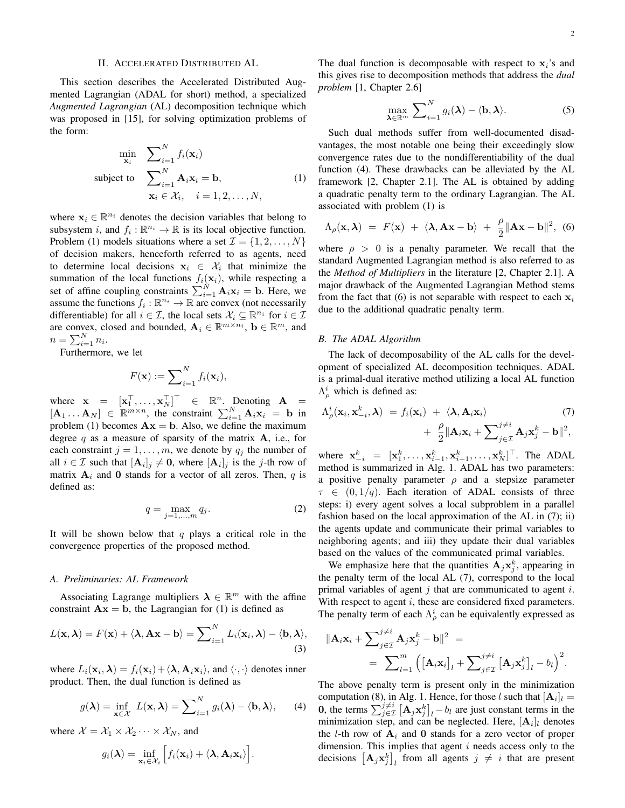### II. ACCELERATED DISTRIBUTED AL

This section describes the Accelerated Distributed Augmented Lagrangian (ADAL for short) method, a specialized *Augmented Lagrangian* (AL) decomposition technique which was proposed in [15], for solving optimization problems of the form:

$$
\min_{\mathbf{x}_i} \sum_{i=1}^N f_i(\mathbf{x}_i)
$$
\n
$$
\text{subject to } \sum_{i=1}^N \mathbf{A}_i \mathbf{x}_i = \mathbf{b}, \tag{1}
$$
\n
$$
\mathbf{x}_i \in \mathcal{X}_i, \quad i = 1, 2, \dots, N,
$$

where  $\mathbf{x}_i \in \mathbb{R}^{n_i}$  denotes the decision variables that belong to subsystem i, and  $f_i : \mathbb{R}^{n_i} \to \mathbb{R}$  is its local objective function. Problem (1) models situations where a set  $\mathcal{I} = \{1, 2, \dots, N\}$ of decision makers, henceforth referred to as agents, need to determine local decisions  $x_i \in \mathcal{X}_i$  that minimize the summation of the local functions  $f_i(\mathbf{x}_i)$ , while respecting a set of affine coupling constraints  $\sum_{i=1}^{N} \mathbf{A}_i \mathbf{x}_i = \mathbf{b}$ . Here, we assume the functions  $f_i : \mathbb{R}^{n_i} \to \mathbb{R}$  are convex (not necessarily differentiable) for all  $i \in \mathcal{I}$ , the local sets  $\mathcal{X}_i \subseteq \mathbb{R}^{n_i}$  for  $i \in \mathcal{I}$ are convex, closed and bounded,  $\mathbf{A}_i \in \mathbb{R}^{m \times n_i}$ ,  $\mathbf{b} \in \mathbb{R}^m$ , and  $n = \sum_{i=1}^{N} n_i$ .

Furthermore, we let

$$
F(\mathbf{x}) := \sum_{i=1}^{N} f_i(\mathbf{x}_i),
$$

where  $\mathbf{x} = [\mathbf{x}_1^\top, \dots, \mathbf{x}_N^\top]^\top \in \mathbb{R}^n$ . Denoting  $\mathbf{A} =$  $[\mathbf{A}_1 \dots \mathbf{A}_N] \in \mathbb{R}^{m \times n}$ , the constraint  $\sum_{i=1}^N \mathbf{A}_i \mathbf{x}_i = \mathbf{b}$  in problem (1) becomes  $Ax = b$ . Also, we define the maximum degree q as a measure of sparsity of the matrix  $A$ , i.e., for each constraint  $j = 1, \ldots, m$ , we denote by  $q_j$  the number of all  $i \in \mathcal{I}$  such that  $[\mathbf{A}_i]_j \neq \mathbf{0}$ , where  $[\mathbf{A}_i]_j$  is the j-th row of matrix  $A_i$  and 0 stands for a vector of all zeros. Then, q is defined as:

$$
q = \max_{j=1,\dots,m} q_j. \tag{2}
$$

It will be shown below that  $q$  plays a critical role in the convergence properties of the proposed method.

#### *A. Preliminaries: AL Framework*

Associating Lagrange multipliers  $\lambda \in \mathbb{R}^m$  with the affine constraint  $\mathbf{A}\mathbf{x} = \mathbf{b}$ , the Lagrangian for (1) is defined as

$$
L(\mathbf{x}, \boldsymbol{\lambda}) = F(\mathbf{x}) + \langle \boldsymbol{\lambda}, \mathbf{A}\mathbf{x} - \mathbf{b} \rangle = \sum_{i=1}^{N} L_i(\mathbf{x}_i, \boldsymbol{\lambda}) - \langle \mathbf{b}, \boldsymbol{\lambda} \rangle,
$$
\n(3)

where  $L_i(\mathbf{x}_i, \boldsymbol{\lambda}) = f_i(\mathbf{x}_i) + \langle \boldsymbol{\lambda}, \mathbf{A}_i \mathbf{x}_i \rangle$ , and  $\langle \cdot, \cdot \rangle$  denotes inner product. Then, the dual function is defined as

$$
g(\boldsymbol{\lambda}) = \inf_{\mathbf{x} \in \mathcal{X}} L(\mathbf{x}, \boldsymbol{\lambda}) = \sum_{i=1}^{N} g_i(\boldsymbol{\lambda}) - \langle \mathbf{b}, \boldsymbol{\lambda} \rangle, \qquad (4)
$$

where  $\mathcal{X} = \mathcal{X}_1 \times \mathcal{X}_2 \cdots \times \mathcal{X}_N$ , and

$$
g_i(\boldsymbol{\lambda}) = \inf_{\mathbf{x}_i \in \mathcal{X}_i} \Big[ f_i(\mathbf{x}_i) + \langle \boldsymbol{\lambda}, \mathbf{A}_i \mathbf{x}_i \rangle \Big].
$$

The dual function is decomposable with respect to  $x_i$ 's and this gives rise to decomposition methods that address the *dual problem* [1, Chapter 2.6]

$$
\max_{\boldsymbol{\lambda} \in \mathbb{R}^m} \ \sum_{i=1}^N g_i(\boldsymbol{\lambda}) - \langle \mathbf{b}, \boldsymbol{\lambda} \rangle. \tag{5}
$$

Such dual methods suffer from well-documented disadvantages, the most notable one being their exceedingly slow convergence rates due to the nondifferentiability of the dual function (4). These drawbacks can be alleviated by the AL framework [2, Chapter 2.1]. The AL is obtained by adding a quadratic penalty term to the ordinary Lagrangian. The AL associated with problem (1) is

$$
\Lambda_{\rho}(\mathbf{x}, \boldsymbol{\lambda}) = F(\mathbf{x}) + \langle \boldsymbol{\lambda}, \mathbf{A}\mathbf{x} - \mathbf{b} \rangle + \frac{\rho}{2} ||\mathbf{A}\mathbf{x} - \mathbf{b}||^2, \tag{6}
$$

where  $\rho > 0$  is a penalty parameter. We recall that the standard Augmented Lagrangian method is also referred to as the *Method of Multipliers* in the literature [2, Chapter 2.1]. A major drawback of the Augmented Lagrangian Method stems from the fact that (6) is not separable with respect to each  $x_i$ due to the additional quadratic penalty term.

#### *B. The ADAL Algorithm*

The lack of decomposability of the AL calls for the development of specialized AL decomposition techniques. ADAL is a primal-dual iterative method utilizing a local AL function  $\Lambda_{\rho}^{i}$  which is defined as:

$$
\Lambda_{\rho}^{i}(\mathbf{x}_{i}, \mathbf{x}_{-i}^{k}, \lambda) = f_{i}(\mathbf{x}_{i}) + \langle \lambda, \mathbf{A}_{i} \mathbf{x}_{i} \rangle \qquad (7) + \frac{\rho}{2} \|\mathbf{A}_{i} \mathbf{x}_{i} + \sum_{j \in \mathcal{I}}^{j \neq i} \mathbf{A}_{j} \mathbf{x}_{j}^{k} - \mathbf{b} \|^{2},
$$

where  $\mathbf{x}_{-i}^k = [\mathbf{x}_1^k, \dots, \mathbf{x}_{i-1}^k, \mathbf{x}_{i+1}^k, \dots, \mathbf{x}_N^k]^\top$ . The ADAL method is summarized in Alg. 1. ADAL has two parameters: a positive penalty parameter  $\rho$  and a stepsize parameter  $\tau \in (0, 1/q)$ . Each iteration of ADAL consists of three steps: i) every agent solves a local subproblem in a parallel fashion based on the local approximation of the AL in (7); ii) the agents update and communicate their primal variables to neighboring agents; and iii) they update their dual variables based on the values of the communicated primal variables.

We emphasize here that the quantities  $A_j x_j^k$ , appearing in the penalty term of the local AL (7), correspond to the local primal variables of agent  $j$  that are communicated to agent  $i$ . With respect to agent *i*, these are considered fixed parameters. The penalty term of each  $\Lambda^i_\rho$  can be equivalently expressed as

$$
\|\mathbf{A}_{i}\mathbf{x}_{i} + \sum_{j\in\mathcal{I}}^{j\neq i} \mathbf{A}_{j}\mathbf{x}_{j}^{k} - \mathbf{b}\|^{2} =
$$
  
= 
$$
\sum_{l=1}^{m} (\left[\mathbf{A}_{i}\mathbf{x}_{i}\right]_{l} + \sum_{j\in\mathcal{I}}^{j\neq i} \left[\mathbf{A}_{j}\mathbf{x}_{j}^{k}\right]_{l} - b_{l})^{2}.
$$

The above penalty term is present only in the minimization computation (8), in Alg. 1. Hence, for those l such that  $[A_i]_l =$ **0**, the terms  $\sum_{j\in\mathcal{I}}^{j\neq i} \left[ \mathbf{A}_j \mathbf{x}_j^k \right]_l - b_l$  are just constant terms in the minimization step, and can be neglected. Here,  $[\mathbf{A}_i]_l$  denotes the *l*-th row of  $A_i$  and 0 stands for a zero vector of proper dimension. This implies that agent  $i$  needs access only to the decisions  $\left[\mathbf{A}_j \mathbf{x}_j^k\right]_l$  from all agents  $j \neq i$  that are present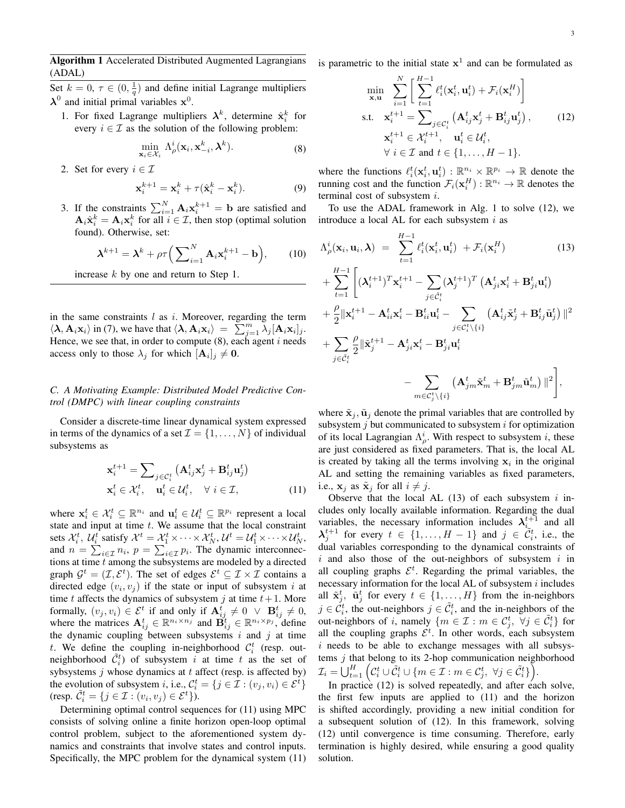Algorithm 1 Accelerated Distributed Augmented Lagrangians (ADAL)

Set  $k = 0, \tau \in (0, \frac{1}{q})$  and define initial Lagrange multipliers  $\lambda^0$  and initial primal variables  $x^0$ .

1. For fixed Lagrange multipliers  $\lambda^k$ , determine  $\hat{\mathbf{x}}_i^k$  for every  $i \in \mathcal{I}$  as the solution of the following problem:

$$
\min_{\mathbf{x}_i \in \mathcal{X}_i} \Lambda^i_{\rho}(\mathbf{x}_i, \mathbf{x}_{-i}^k, \boldsymbol{\lambda}^k).
$$
 (8)

2. Set for every  $i \in \mathcal{I}$ 

$$
\mathbf{x}_i^{k+1} = \mathbf{x}_i^k + \tau(\hat{\mathbf{x}}_i^k - \mathbf{x}_i^k). \tag{9}
$$

3. If the constraints  $\sum_{i=1}^{N} \mathbf{A}_i \mathbf{x}_i^{k+1} = \mathbf{b}$  are satisfied and  $\mathbf{A}_i \hat{\mathbf{x}}_i^k = \mathbf{A}_i \mathbf{x}_i^k$  for all  $i \in \mathcal{I}$ , then stop (optimal solution found). Otherwise, set:

$$
\boldsymbol{\lambda}^{k+1} = \boldsymbol{\lambda}^k + \rho \tau \Big( \sum_{i=1}^N \mathbf{A}_i \mathbf{x}_i^{k+1} - \mathbf{b} \Big), \qquad (10)
$$

increase  $k$  by one and return to Step 1.

in the same constraints  $l$  as  $i$ . Moreover, regarding the term  $\langle \lambda, \mathbf{A}_i \mathbf{x}_i \rangle$  in (7), we have that  $\langle \lambda, \mathbf{A}_i \mathbf{x}_i \rangle = \sum_{j=1}^m \lambda_j [\mathbf{A}_i \mathbf{x}_i]_j$ . Hence, we see that, in order to compute  $(8)$ , each agent i needs access only to those  $\lambda_j$  for which  $[\mathbf{A}_i]_j \neq \mathbf{0}$ .

## *C. A Motivating Example: Distributed Model Predictive Control (DMPC) with linear coupling constraints*

Consider a discrete-time linear dynamical system expressed in terms of the dynamics of a set  $\mathcal{I} = \{1, \ldots, N\}$  of individual subsystems as

$$
\mathbf{x}_{i}^{t+1} = \sum_{j \in C_{i}^{t}} (\mathbf{A}_{ij}^{t} \mathbf{x}_{j}^{t} + \mathbf{B}_{ij}^{t} \mathbf{u}_{j}^{t})
$$

$$
\mathbf{x}_{i}^{t} \in \mathcal{X}_{i}^{t}, \quad \mathbf{u}_{i}^{t} \in \mathcal{U}_{i}^{t}, \quad \forall i \in \mathcal{I}, \tag{11}
$$

where  $\mathbf{x}_i^t \in \mathcal{X}_i^t \subseteq \mathbb{R}^{n_i}$  and  $\mathbf{u}_i^t \in \mathcal{U}_i^t \subseteq \mathbb{R}^{p_i}$  represent a local state and input at time  $t$ . We assume that the local constraint sets  $\mathcal{X}_i^t$ ,  $\mathcal{U}_i^t$  satisfy  $\mathcal{X}^t = \mathcal{X}_1^t \times \cdots \times \mathcal{X}_N^t$ ,  $\mathcal{U}^t = \mathcal{U}_1^t \times \cdots \times \mathcal{U}_N^t$ , and  $n = \sum_{i \in \mathcal{I}} n_i$ ,  $p = \sum_{i \in \mathcal{I}} p_i$ . The dynamic interconnections at time  $t$  among the subsystems are modeled by a directed graph  $\mathcal{G}^t = (\mathcal{I}, \mathcal{E}^t)$ . The set of edges  $\mathcal{E}^t \subseteq \mathcal{I} \times \mathcal{I}$  contains a directed edge  $(v_i, v_j)$  if the state or input of subsystem i at time t affects the dynamics of subsystem j at time  $t + 1$ . More formally,  $(v_j, v_i) \in \mathcal{E}^t$  if and only if  $\mathbf{A}_{ij}^t \neq 0 \ \lor \ \mathbf{B}_{ij}^t \neq 0$ , where the matrices  $A_{ij}^t \in \mathbb{R}^{n_i \times n_j}$  and  $B_{ij}^t \in \mathbb{R}^{n_i \times p_j}$ , define the dynamic coupling between subsystems  $i$  and  $j$  at time t. We define the coupling in-neighborhood  $\mathcal{C}_i^t$  (resp. outneighborhood  $\tilde{C}_i^t$  of subsystem i at time t as the set of sybsystems  $j$  whose dynamics at  $t$  affect (resp. is affected by) the evolution of subsystem *i*, i.e.,  $C_i^t = \{j \in \mathcal{I} : (v_j, v_i) \in \mathcal{E}^t\}$ (resp.  $\tilde{C}_i^t = \{j \in \mathcal{I} : (v_i, v_j) \in \mathcal{E}^t\}$ ).

Determining optimal control sequences for (11) using MPC consists of solving online a finite horizon open-loop optimal control problem, subject to the aforementioned system dynamics and constraints that involve states and control inputs. Specifically, the MPC problem for the dynamical system (11) is parametric to the initial state  $x^1$  and can be formulated as

$$
\min_{\mathbf{x}, \mathbf{u}} \sum_{i=1}^{N} \left[ \sum_{t=1}^{H-1} \ell_i^t(\mathbf{x}_i^t, \mathbf{u}_i^t) + \mathcal{F}_i(\mathbf{x}_i^H) \right]
$$
\n
$$
\text{s.t.} \quad \mathbf{x}_i^{t+1} = \sum_{j \in C_i^t} \left( \mathbf{A}_{ij}^t \mathbf{x}_j^t + \mathbf{B}_{ij}^t \mathbf{u}_j^t \right),
$$
\n
$$
\mathbf{x}_i^{t+1} \in \mathcal{X}_i^{t+1}, \quad \mathbf{u}_i^t \in \mathcal{U}_i^t,
$$
\n
$$
\forall \ i \in \mathcal{I} \text{ and } t \in \{1, \dots, H-1\}.
$$
\n(12)

where the functions  $\ell_i^t(\mathbf{x}_i^t, \mathbf{u}_i^t) : \mathbb{R}^{n_i} \times \mathbb{R}^{p_i} \to \mathbb{R}$  denote the running cost and the function  $\mathcal{F}_i(\mathbf{x}_i^H): \mathbb{R}^{n_i} \to \mathbb{R}$  denotes the terminal cost of subsystem i.

To use the ADAL framework in Alg. 1 to solve (12), we introduce a local AL for each subsystem  $i$  as

$$
\Lambda_{\rho}^{i}(\mathbf{x}_{i}, \mathbf{u}_{i}, \boldsymbol{\lambda}) = \sum_{t=1}^{H-1} \ell_{i}^{t}(\mathbf{x}_{i}^{t}, \mathbf{u}_{i}^{t}) + \mathcal{F}_{i}(\mathbf{x}_{i}^{H})
$$
(13)  
+ 
$$
\sum_{t=1}^{H-1} \left[ (\boldsymbol{\lambda}_{i}^{t+1})^{T} \mathbf{x}_{i}^{t+1} - \sum_{j \in \tilde{C}_{i}^{t}} (\boldsymbol{\lambda}_{j}^{t+1})^{T} (\mathbf{A}_{ji}^{t} \mathbf{x}_{i}^{t} + \mathbf{B}_{ji}^{t} \mathbf{u}_{i}^{t}) + \frac{\rho}{2} ||\mathbf{x}_{i}^{t+1} - \mathbf{A}_{ii}^{t} \mathbf{x}_{i}^{t} - \mathbf{B}_{ii}^{t} \mathbf{u}_{i}^{t} - \sum_{j \in \tilde{C}_{i}^{t} \setminus \{i\}} (\mathbf{A}_{ij}^{t} \tilde{\mathbf{x}}_{j}^{t} + \mathbf{B}_{ij}^{t} \tilde{\mathbf{u}}_{j}^{t}) ||^{2} + \sum_{j \in \tilde{C}_{i}^{t}} \frac{\rho}{2} ||\tilde{\mathbf{x}}_{j}^{t+1} - \mathbf{A}_{ji}^{t} \mathbf{x}_{i}^{t} - \mathbf{B}_{ji}^{t} \mathbf{u}_{i}^{t} - \sum_{m \in C_{j}^{t} \setminus \{i\}} (\mathbf{A}_{jm}^{t} \tilde{\mathbf{x}}_{m}^{t} + \mathbf{B}_{jm}^{t} \tilde{\mathbf{u}}_{m}^{t}) ||^{2} \right],
$$
(13)

where  $\tilde{\mathbf{x}}_i$ ,  $\tilde{\mathbf{u}}_i$  denote the primal variables that are controlled by subsystem  $j$  but communicated to subsystem  $i$  for optimization of its local Lagrangian  $\Lambda^i_\rho$ . With respect to subsystem i, these are just considered as fixed parameters. That is, the local AL is created by taking all the terms involving  $x_i$  in the original AL and setting the remaining variables as fixed parameters, i.e.,  $\mathbf{x}_i$  as  $\tilde{\mathbf{x}}_i$  for all  $i \neq j$ .

Observe that the local AL  $(13)$  of each subsystem i includes only locally available information. Regarding the dual variables, the necessary information includes  $\lambda_{i_{\sim}}^{t+1}$  and all  $\lambda_j^{t+1}$  for every  $t \in \{1, ..., H-1\}$  and  $j \in \tilde{C}_i^t$ , i.e., the dual variables corresponding to the dynamical constraints of  $i$  and also those of the out-neighbors of subsystem  $i$  in all coupling graphs  $\mathcal{E}^t$ . Regarding the primal variables, the necessary information for the local AL of subsystem  $i$  includes all  $\tilde{\mathbf{x}}_j^t$ ,  $\tilde{\mathbf{u}}_j^t$  for every  $t \in \{1, ..., H\}$  from the in-neighbors  $j \in C_i^t$ , the out-neighbors  $j \in C_i^t$ , and the in-neighbors of the out-neighbors of *i*, namely  $\{m \in \mathcal{I} : m \in \mathcal{C}_j^t, \forall j \in \tilde{\mathcal{C}}_i^t\}$  for all the coupling graphs  $\mathcal{E}^t$ . In other words, each subsystem i needs to be able to exchange messages with all subsystems  $j$  that belong to its 2-hop communication neighborhood  $\mathcal{I}_i = \bigcup_{t=1}^H \Big( \mathcal{C}_i^t \cup \overline{\tilde{\mathcal{C}}_i^t} \cup \{m \in \mathcal{I} : m \in \mathcal{C}_j^t, \ \forall j \in \tilde{\mathcal{C}}_i^t \} \Big).$ 

In practice (12) is solved repeatedly, and after each solve, the first few inputs are applied to (11) and the horizon is shifted accordingly, providing a new initial condition for a subsequent solution of (12). In this framework, solving (12) until convergence is time consuming. Therefore, early termination is highly desired, while ensuring a good quality solution.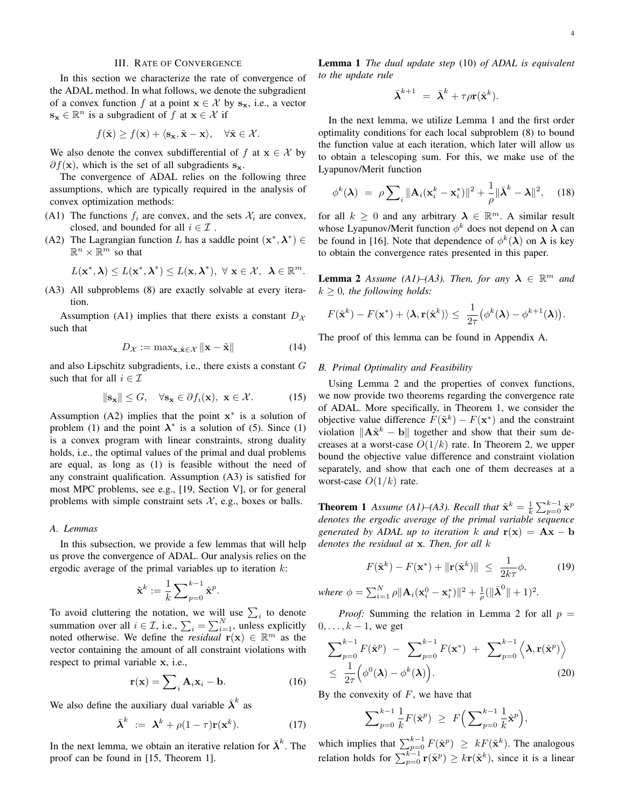#### III. RATE OF CONVERGENCE

In this section we characterize the rate of convergence of the ADAL method. In what follows, we denote the subgradient of a convex function f at a point  $x \in \mathcal{X}$  by  $s_x$ , i.e., a vector  $\mathbf{s}_{\mathbf{x}} \in \mathbb{R}^n$  is a subgradient of f at  $\mathbf{x} \in \mathcal{X}$  if

$$
f(\tilde{\mathbf{x}}) \ge f(\mathbf{x}) + \langle \mathbf{s}_{\mathbf{x}}, \tilde{\mathbf{x}} - \mathbf{x} \rangle, \quad \forall \tilde{\mathbf{x}} \in \mathcal{X}.
$$

We also denote the convex subdifferential of f at  $x \in \mathcal{X}$  by  $\partial f(\mathbf{x})$ , which is the set of all subgradients  $\mathbf{s}_{\mathbf{x}}$ .

The convergence of ADAL relies on the following three assumptions, which are typically required in the analysis of convex optimization methods:

- (A1) The functions  $f_i$  are convex, and the sets  $\mathcal{X}_i$  are convex, closed, and bounded for all  $i \in \mathcal{I}$ .
- (A2) The Lagrangian function L has a saddle point  $(x^*, \lambda^*) \in$  $\mathbb{R}^n \times \mathbb{R}^m$  so that

$$
L(\mathbf{x}^*,\boldsymbol{\lambda})\leq L(\mathbf{x}^*,\boldsymbol{\lambda}^*)\leq L(\mathbf{x},\boldsymbol{\lambda}^*),~\forall~\mathbf{x}\in\mathcal{X},~\boldsymbol{\lambda}\in\mathbb{R}^m.
$$

(A3) All subproblems (8) are exactly solvable at every iteration.

Assumption (A1) implies that there exists a constant  $D_{\mathcal{X}}$ such that

$$
D_{\mathcal{X}} := \max_{\mathbf{x}, \tilde{\mathbf{x}} \in \mathcal{X}} \|\mathbf{x} - \tilde{\mathbf{x}}\| \tag{14}
$$

and also Lipschitz subgradients, i.e., there exists a constant G such that for all  $i \in \mathcal{I}$ 

$$
\|\mathbf{s}_{\mathbf{x}}\| \leq G, \quad \forall \mathbf{s}_{\mathbf{x}} \in \partial f_i(\mathbf{x}), \ \mathbf{x} \in \mathcal{X}.
$$
 (15)

Assumption (A2) implies that the point  $x^*$  is a solution of problem (1) and the point  $\lambda^*$  is a solution of (5). Since (1) is a convex program with linear constraints, strong duality holds, i.e., the optimal values of the primal and dual problems are equal, as long as (1) is feasible without the need of any constraint qualification. Assumption (A3) is satisfied for most MPC problems, see e.g., [19, Section V], or for general problems with simple constraint sets  $X$ , e.g., boxes or balls.

## *A. Lemmas*

In this subsection, we provide a few lemmas that will help us prove the convergence of ADAL. Our analysis relies on the ergodic average of the primal variables up to iteration  $k$ :

$$
\tilde{\mathbf{x}}^k := \frac{1}{k}\sum\nolimits_{p=0}^{k-1} \hat{\mathbf{x}}^p.
$$

To avoid cluttering the notation, we will use  $\sum_i$  to denote summation over all  $i \in \mathcal{I}$ , i.e.,  $\sum_{i} = \sum_{i=1}^{N}$ , unless explicitly noted otherwise. We define the *residual*  $\mathbf{r}(\mathbf{x}) \in \mathbb{R}^m$  as the vector containing the amount of all constraint violations with respect to primal variable x, i.e.,

$$
\mathbf{r}(\mathbf{x}) = \sum_{i} \mathbf{A}_i \mathbf{x}_i - \mathbf{b}.
$$
 (16)

We also define the auxiliary dual variable  $\bar{\lambda}^k$  as

$$
\bar{\boldsymbol{\lambda}}^k := \boldsymbol{\lambda}^k + \rho(1-\tau)\mathbf{r}(\mathbf{x}^k). \tag{17}
$$

In the next lemma, we obtain an iterative relation for  $\bar{\lambda}^k$ . The proof can be found in [15, Theorem 1].

Lemma 1 *The dual update step* (10) *of ADAL is equivalent to the update rule*

$$
\bar{\boldsymbol{\lambda}}^{k+1} \ = \ \bar{\boldsymbol{\lambda}}^k + \tau \rho \mathbf{r}(\hat{\mathbf{x}}^k).
$$

In the next lemma, we utilize Lemma 1 and the first order optimality conditions for each local subproblem (8) to bound the function value at each iteration, which later will allow us to obtain a telescoping sum. For this, we make use of the Lyapunov/Merit function

$$
\phi^k(\boldsymbol{\lambda}) = \rho \sum_i \|\mathbf{A}_i(\mathbf{x}_i^k - \mathbf{x}_i^*)\|^2 + \frac{1}{\rho} \|\bar{\boldsymbol{\lambda}}^k - \boldsymbol{\lambda}\|^2, \quad (18)
$$

for all  $k \geq 0$  and any arbitrary  $\lambda \in \mathbb{R}^m$ . A similar result whose Lyapunov/Merit function  $\phi^k$  does not depend on  $\lambda$  can be found in [16]. Note that dependence of  $\phi^k(\lambda)$  on  $\lambda$  is key to obtain the convergence rates presented in this paper.

**Lemma 2** *Assume (A1)–(A3). Then, for any*  $\lambda \in \mathbb{R}^m$  *and*  $k \geq 0$ , the following holds:

$$
F(\hat{\mathbf{x}}^k) - F(\mathbf{x}^*) + \langle \mathbf{\lambda}, \mathbf{r}(\hat{\mathbf{x}}^k) \rangle \leq \frac{1}{2\tau} (\phi^k(\mathbf{\lambda}) - \phi^{k+1}(\mathbf{\lambda})).
$$

The proof of this lemma can be found in Appendix A.

## *B. Primal Optimality and Feasibility*

Using Lemma 2 and the properties of convex functions, we now provide two theorems regarding the convergence rate of ADAL. More specifically, in Theorem 1, we consider the objective value difference  $F(\tilde{\mathbf{x}}^k) - F(\mathbf{x}^*)$  and the constraint violation  $\|\mathbf{A}\tilde{\mathbf{x}}^k - \mathbf{b}\|$  together and show that their sum decreases at a worst-case  $O(1/k)$  rate. In Theorem 2, we upper bound the objective value difference and constraint violation separately, and show that each one of them decreases at a worst-case  $O(1/k)$  rate.

**Theorem 1** *Assume (A1)–(A3). Recall that*  $\tilde{\mathbf{x}}^k = \frac{1}{k} \sum_{p=0}^{k-1} \hat{\mathbf{x}}^p$ *denotes the ergodic average of the primal variable sequence generated by ADAL up to iteration* k and  $\mathbf{r}(\mathbf{x}) = \mathbf{A}\mathbf{x} - \mathbf{b}$ *denotes the residual at* x*. Then, for all* k

$$
F(\tilde{\mathbf{x}}^k) - F(\mathbf{x}^*) + \|\mathbf{r}(\tilde{\mathbf{x}}^k)\| \le \frac{1}{2k\tau}\phi,\tag{19}
$$

where  $\phi = \sum_{i=1}^{N} \rho ||\mathbf{A}_i(\mathbf{x}_i^0 - \mathbf{x}_i^*)||^2 + \frac{1}{\rho} (||\bar{\boldsymbol{\lambda}}^0|| + 1)^2$ .

*Proof:* Summing the relation in Lemma 2 for all  $p =$  $0, \ldots, k-1$ , we get

$$
\sum_{p=0}^{k-1} F(\hat{\mathbf{x}}^p) - \sum_{p=0}^{k-1} F(\mathbf{x}^*) + \sum_{p=0}^{k-1} \left\langle \lambda, \mathbf{r}(\hat{\mathbf{x}}^p) \right\rangle
$$
  
 
$$
\leq \frac{1}{2\tau} \left( \phi^0(\lambda) - \phi^k(\lambda) \right). \tag{20}
$$

By the convexity of  $F$ , we have that

$$
\sum\nolimits_{p=0}^{k-1}\frac{1}{k}F(\hat{\mathbf{x}}^p) \ \geq \ F\Big(\sum\nolimits_{p=0}^{k-1}\frac{1}{k}\hat{\mathbf{x}}^p\Big),\
$$

which implies that  $\sum_{p=0}^{k-1} F(\hat{\mathbf{x}}^p) \geq kF(\tilde{\mathbf{x}}^k)$ . The analogous relation holds for  $\sum_{p=0}^{k-1} \mathbf{r}(\hat{\mathbf{x}}^p) \geq k \mathbf{r}(\tilde{\mathbf{x}}^k)$ , since it is a linear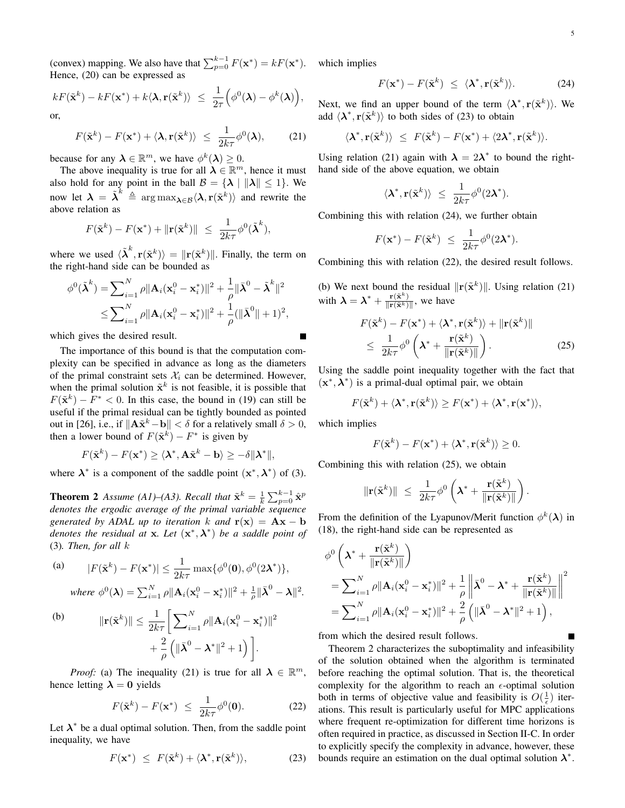(convex) mapping. We also have that  $\sum_{p=0}^{k-1} F(\mathbf{x}^*) = kF(\mathbf{x}^*)$ . which implies Hence, (20) can be expressed as

$$
kF(\tilde{\mathbf{x}}^k) - kF(\mathbf{x}^*) + k\langle \mathbf{\lambda}, \mathbf{r}(\tilde{\mathbf{x}}^k) \rangle \leq \frac{1}{2\tau} \Big( \phi^0(\mathbf{\lambda}) - \phi^k(\mathbf{\lambda}) \Big),
$$
 or,

$$
F(\tilde{\mathbf{x}}^k) - F(\mathbf{x}^*) + \langle \lambda, \mathbf{r}(\tilde{\mathbf{x}}^k) \rangle \le \frac{1}{2k\tau} \phi^0(\lambda), \quad (21)
$$

because for any  $\lambda \in \mathbb{R}^m$ , we have  $\phi^k(\lambda) \geq 0$ .

The above inequality is true for all  $\lambda \in \mathbb{R}^m$ , hence it must also hold for any point in the ball  $\mathcal{B} = \{ \lambda \mid ||\lambda|| \leq 1 \}$ . We now let  $\lambda = \tilde{\lambda}^k \triangleq \arg \max_{\lambda \in \mathcal{B}} \langle \lambda, r(\tilde{\mathbf{x}}^k) \rangle$  and rewrite the above relation as

$$
F(\tilde{\mathbf{x}}^k) - F(\mathbf{x}^*) + \|\mathbf{r}(\tilde{\mathbf{x}}^k)\| \le \frac{1}{2k\tau} \phi^0(\tilde{\boldsymbol{\lambda}}^k),
$$

where we used  $\langle \tilde{\lambda}^k, r(\tilde{\mathbf{x}}^k) \rangle = ||r(\tilde{\mathbf{x}}^k)||$ . Finally, the term on the right-hand side can be bounded as

$$
\phi^{0}(\tilde{\boldsymbol{\lambda}}^{k}) = \sum_{i=1}^{N} \rho \|\mathbf{A}_{i}(\mathbf{x}_{i}^{0} - \mathbf{x}_{i}^{*})\|^{2} + \frac{1}{\rho} \|\bar{\boldsymbol{\lambda}}^{0} - \tilde{\boldsymbol{\lambda}}^{k}\|^{2}
$$

$$
\leq \sum_{i=1}^{N} \rho \|\mathbf{A}_{i}(\mathbf{x}_{i}^{0} - \mathbf{x}_{i}^{*})\|^{2} + \frac{1}{\rho} (\|\bar{\boldsymbol{\lambda}}^{0}\| + 1)^{2},
$$

which gives the desired result.

The importance of this bound is that the computation complexity can be specified in advance as long as the diameters of the primal constraint sets  $\mathcal{X}_i$  can be determined. However, when the primal solution  $\tilde{\mathbf{x}}^k$  is not feasible, it is possible that  $F(\tilde{\mathbf{x}}^k) - F^* < 0$ . In this case, the bound in (19) can still be useful if the primal residual can be tightly bounded as pointed out in [26], i.e., if  $\|\mathbf{A}\tilde{\mathbf{x}}^k - \mathbf{b}\| < \delta$  for a relatively small  $\delta > 0$ , then a lower bound of  $F(\tilde{\mathbf{x}}^k) - F^*$  is given by

$$
F(\tilde{\mathbf{x}}^k) - F(\mathbf{x}^*) \ge \langle \mathbf{\lambda}^*, \mathbf{A}\tilde{\mathbf{x}}^k - \mathbf{b} \rangle \ge -\delta \|\mathbf{\lambda}^*\|,
$$

where  $\lambda^*$  is a component of the saddle point  $(x^*, \lambda^*)$  of (3).

**Theorem 2** Assume (A1)–(A3). Recall that  $\tilde{\mathbf{x}}^k = \frac{1}{k} \sum_{p=0}^{k-1} \hat{\mathbf{x}}^p$ *denotes the ergodic average of the primal variable sequence generated by ADAL up to iteration* k and  $\mathbf{r}(\mathbf{x}) = \mathbf{A}\mathbf{x} - \mathbf{b}$ *denotes the residual at* x*. Let* (x ∗ ,λ ∗ ) *be a saddle point of* (3)*. Then, for all* k

(a) 
$$
|F(\tilde{\mathbf{x}}^k) - F(\mathbf{x}^*)| \le \frac{1}{2k\tau} \max{\{\phi^0(\mathbf{0}), \phi^0(2\mathbf{\lambda}^*)\}},
$$
  
where  $\phi^0(\mathbf{\lambda}) = \sum_{i=1}^N \rho ||\mathbf{A}_i(\mathbf{x}_i^0 - \mathbf{x}_i^*)||^2 + \frac{1}{\rho} ||\bar{\mathbf{\lambda}}^0 - \mathbf{\lambda}||^2.$ 

(b) 
$$
\|\mathbf{r}(\tilde{\mathbf{x}}^k)\| \leq \frac{1}{2k\tau} \Bigg[ \sum_{i=1}^N \rho \|\mathbf{A}_i(\mathbf{x}_i^0 - \mathbf{x}_i^*)\|^2 + \frac{2}{\rho} \left( \|\bar{\mathbf{\lambda}}^0 - \mathbf{\lambda}^*\|^2 + 1 \right) \Bigg].
$$

*Proof:* (a) The inequality (21) is true for all  $\lambda \in \mathbb{R}^m$ , hence letting  $\lambda = 0$  yields

$$
F(\tilde{\mathbf{x}}^k) - F(\mathbf{x}^*) \le \frac{1}{2k\tau} \phi^0(\mathbf{0}).
$$
 (22)

Let  $\lambda^*$  be a dual optimal solution. Then, from the saddle point inequality, we have

$$
F(\mathbf{x}^*) \leq F(\tilde{\mathbf{x}}^k) + \langle \boldsymbol{\lambda}^*, \mathbf{r}(\tilde{\mathbf{x}}^k) \rangle, \tag{23}
$$

$$
F(\mathbf{x}^*) - F(\tilde{\mathbf{x}}^k) \le \langle \mathbf{\lambda}^*, \mathbf{r}(\tilde{\mathbf{x}}^k) \rangle.
$$
 (24)

Next, we find an upper bound of the term  $\langle \lambda^*, r(\tilde{x}^k) \rangle$ . We add  $\langle \lambda^*, \mathbf{r}(\tilde{\mathbf{x}}^k) \rangle$  to both sides of (23) to obtain

$$
\langle \lambda^*, \mathbf{r}(\tilde{\mathbf{x}}^k) \rangle \leq F(\tilde{\mathbf{x}}^k) - F(\mathbf{x}^*) + \langle 2\lambda^*, \mathbf{r}(\tilde{\mathbf{x}}^k) \rangle.
$$

Using relation (21) again with  $\lambda = 2\lambda^*$  to bound the righthand side of the above equation, we obtain

$$
\langle \lambda^*, \mathbf{r}(\tilde{\mathbf{x}}^k) \rangle \ \leq \ \frac{1}{2k\tau} \phi^0(2\lambda^*).
$$

Combining this with relation (24), we further obtain

$$
F(\mathbf{x}^*) - F(\tilde{\mathbf{x}}^k) \le \frac{1}{2k\tau} \phi^0(2\lambda^*).
$$

Combining this with relation (22), the desired result follows.

(b) We next bound the residual  $\|\mathbf{r}(\tilde{\mathbf{x}}^k)\|$ . Using relation (21) with  $\lambda = \lambda^* + \frac{\mathbf{r}(\tilde{\mathbf{x}}^k)}{\|\mathbf{r}(\tilde{\mathbf{x}}^k)\|}$ , we have

$$
F(\tilde{\mathbf{x}}^k) - F(\mathbf{x}^*) + \langle \mathbf{\lambda}^*, \mathbf{r}(\tilde{\mathbf{x}}^k) \rangle + ||\mathbf{r}(\tilde{\mathbf{x}}^k)||
$$
  
 
$$
\leq \frac{1}{2k\tau} \phi^0 \left( \mathbf{\lambda}^* + \frac{\mathbf{r}(\tilde{\mathbf{x}}^k)}{||\mathbf{r}(\tilde{\mathbf{x}}^k)||} \right).
$$
 (25)

Using the saddle point inequality together with the fact that  $(x^*, \lambda^*)$  is a primal-dual optimal pair, we obtain

$$
F(\tilde{\mathbf{x}}^k) + \langle \mathbf{\lambda}^*, \mathbf{r}(\tilde{\mathbf{x}}^k) \rangle \ge F(\mathbf{x}^*) + \langle \mathbf{\lambda}^*, \mathbf{r}(\mathbf{x}^*) \rangle,
$$

which implies

$$
F(\tilde{\mathbf{x}}^k) - F(\mathbf{x}^*) + \langle \lambda^*, \mathbf{r}(\tilde{\mathbf{x}}^k) \rangle \ge 0.
$$

Combining this with relation (25), we obtain

$$
\|\mathbf{r}(\tilde{\mathbf{x}}^k)\| \ \leq \ \frac{1}{2k\tau} \phi^0 \left( \boldsymbol{\lambda}^* + \frac{\mathbf{r}(\tilde{\mathbf{x}}^k)}{\|\mathbf{r}(\tilde{\mathbf{x}}^k)\|} \right)
$$

.

From the definition of the Lyapunov/Merit function  $\phi^k(\lambda)$  in (18), the right-hand side can be represented as

$$
\begin{split} &\phi^0\left(\boldsymbol{\lambda}^*+\frac{\mathbf{r}(\tilde{\mathbf{x}}^k)}{\|\mathbf{r}(\tilde{\mathbf{x}}^k)\|}\right) \\ &=\sum\nolimits_{i=1}^N\rho\|\mathbf{A}_i(\mathbf{x}_i^0-\mathbf{x}_i^*)\|^2+\frac{1}{\rho}\left\|\bar{\boldsymbol{\lambda}}^0-\boldsymbol{\lambda}^*+\frac{\mathbf{r}(\tilde{\mathbf{x}}^k)}{\|\mathbf{r}(\tilde{\mathbf{x}}^k)\|}\right\|^2 \\ &=\sum\nolimits_{i=1}^N\rho\|\mathbf{A}_i(\mathbf{x}_i^0-\mathbf{x}_i^*)\|^2+\frac{2}{\rho}\left(\|\bar{\boldsymbol{\lambda}}^0-\boldsymbol{\lambda}^*\|^2+1\right), \end{split}
$$

from which the desired result follows.

Theorem 2 characterizes the suboptimality and infeasibility of the solution obtained when the algorithm is terminated before reaching the optimal solution. That is, the theoretical complexity for the algorithm to reach an  $\epsilon$ -optimal solution both in terms of objective value and feasibility is  $O(\frac{1}{\epsilon})$  iterations. This result is particularly useful for MPC applications where frequent re-optimization for different time horizons is often required in practice, as discussed in Section II-C. In order to explicitly specify the complexity in advance, however, these bounds require an estimation on the dual optimal solution  $\lambda^*$ .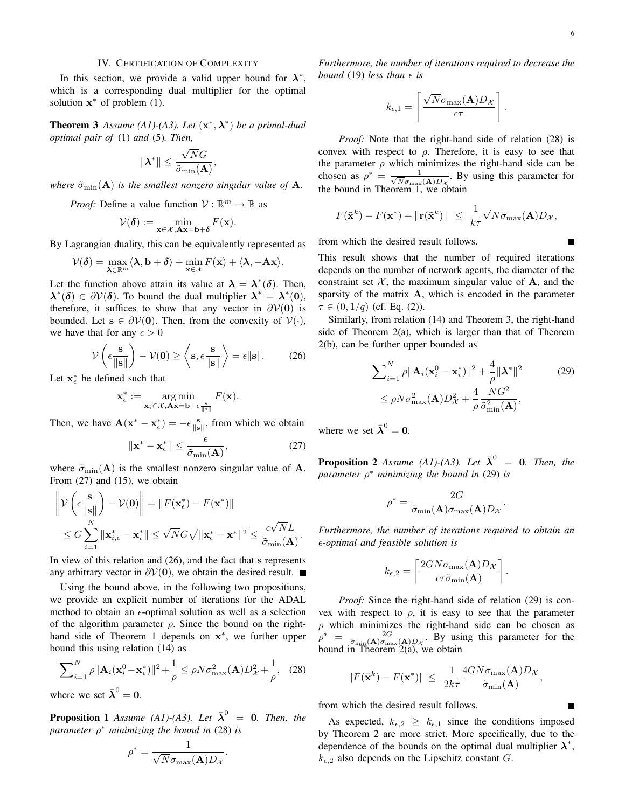#### IV. CERTIFICATION OF COMPLEXITY

In this section, we provide a valid upper bound for  $\lambda^*$ , which is a corresponding dual multiplier for the optimal solution  $x^*$  of problem (1).

**Theorem 3** Assume (A1)-(A3). Let  $(x^*, \lambda^*)$  be a primal-dual *optimal pair of* (1) *and* (5)*. Then,*

$$
\|\boldsymbol{\lambda}^*\| \leq \frac{\sqrt{N}G}{\tilde{\sigma}_{\min}(\mathbf{A})}
$$

,

*where*  $\tilde{\sigma}_{\min}(\mathbf{A})$  *is the smallest nonzero singular value of* **A***.* 

*Proof:* Define a value function  $V : \mathbb{R}^m \to \mathbb{R}$  as

$$
\mathcal{V}(\boldsymbol{\delta}) := \min_{\mathbf{x} \in \mathcal{X}, \mathbf{A}\mathbf{x} = \mathbf{b} + \boldsymbol{\delta}} F(\mathbf{x}).
$$

By Lagrangian duality, this can be equivalently represented as

$$
\mathcal{V}(\boldsymbol{\delta}) = \max_{\boldsymbol{\lambda} \in \mathbb{R}^m} \langle \boldsymbol{\lambda}, \mathbf{b} + \boldsymbol{\delta} \rangle + \min_{\mathbf{x} \in \mathcal{X}} F(\mathbf{x}) + \langle \boldsymbol{\lambda}, -\mathbf{A}\mathbf{x} \rangle.
$$

Let the function above attain its value at  $\lambda = \lambda^*(\delta)$ . Then,  $\lambda^*(\delta) \in \partial \mathcal{V}(\delta)$ . To bound the dual multiplier  $\lambda^* = \lambda^*(0)$ , therefore, it suffices to show that any vector in  $\partial V(\mathbf{0})$  is bounded. Let  $s \in \partial V(0)$ . Then, from the convexity of  $V(\cdot)$ , we have that for any  $\epsilon > 0$ 

$$
\mathcal{V}\left(\epsilon \frac{\mathbf{s}}{\|\mathbf{s}\|}\right) - \mathcal{V}(\mathbf{0}) \ge \left\langle \mathbf{s}, \epsilon \frac{\mathbf{s}}{\|\mathbf{s}\|}\right\rangle = \epsilon \|\mathbf{s}\|. \tag{26}
$$

Let  $x_{\epsilon}^*$  be defined such that

$$
\mathbf{x}_{\epsilon}^* := \underset{\mathbf{x}_i \in \mathcal{X}, \mathbf{A}\mathbf{x} = \mathbf{b} + \epsilon}{\arg \min} F(\mathbf{x}).
$$

Then, we have  $\mathbf{A}(\mathbf{x}^* - \mathbf{x}_{\epsilon}^*) = -\epsilon \frac{\mathbf{s}}{\|\mathbf{s}\|}$ , from which we obtain

$$
\|\mathbf{x}^* - \mathbf{x}_{\epsilon}^*\| \le \frac{\epsilon}{\tilde{\sigma}_{\min}(\mathbf{A})},\tag{27}
$$

where  $\tilde{\sigma}_{\min}(\mathbf{A})$  is the smallest nonzero singular value of A. From (27) and (15), we obtain

$$
\left\| \mathcal{V} \left( \epsilon \frac{\mathbf{s}}{\|\mathbf{s}\|} \right) - \mathcal{V}(\mathbf{0}) \right\| = \| F(\mathbf{x}_{\epsilon}^{*}) - F(\mathbf{x}^{*}) \| \n\leq G \sum_{i=1}^{N} \|\mathbf{x}_{i,\epsilon}^{*} - \mathbf{x}_{i}^{*}\| \leq \sqrt{N} G \sqrt{\|\mathbf{x}_{\epsilon}^{*} - \mathbf{x}^{*}\|^{2}} \leq \frac{\epsilon \sqrt{N} L}{\tilde{\sigma}_{\min}(\mathbf{A})}.
$$

In view of this relation and (26), and the fact that s represents any arbitrary vector in  $\partial$ V(0), we obtain the desired result. ■

Using the bound above, in the following two propositions, we provide an explicit number of iterations for the ADAL method to obtain an  $\epsilon$ -optimal solution as well as a selection of the algorithm parameter  $\rho$ . Since the bound on the righthand side of Theorem 1 depends on  $x^*$ , we further upper bound this using relation (14) as

$$
\sum_{i=1}^{N} \rho \|\mathbf{A}_{i}(\mathbf{x}_{i}^{0} - \mathbf{x}_{i}^{*})\|^{2} + \frac{1}{\rho} \leq \rho N \sigma_{\max}^{2}(\mathbf{A}) D_{\mathcal{X}}^{2} + \frac{1}{\rho}, \quad (28)
$$

where we set  $\bar{\lambda}^0 = 0$ .

**Proposition 1** Assume (A1)-(A3). Let  $\bar{\lambda}^0 = 0$ . Then, the *parameter* ρ <sup>∗</sup> *minimizing the bound in* (28) *is*

$$
\rho^* = \frac{1}{\sqrt{N}\sigma_{\max}(\mathbf{A})D_{\mathcal{X}}}.
$$

*Furthermore, the number of iterations required to decrease the bound* (19) *less than*  $\epsilon$  *is* 

$$
k_{\epsilon,1} = \left\lceil \frac{\sqrt{N} \sigma_{\max}(\mathbf{A}) D_{\mathcal{X}}}{\epsilon \tau} \right\rceil.
$$

*Proof:* Note that the right-hand side of relation (28) is convex with respect to  $\rho$ . Therefore, it is easy to see that the parameter  $\rho$  which minimizes the right-hand side can be chosen as  $\rho^* = \frac{1}{\sqrt{N}\sigma}$  $\frac{1}{\overline{N}\sigma_{\max}({\bf A})D_{\mathcal{X}}}$ . By using this parameter for the bound in Theorem 1, we obtain

$$
F(\tilde{\mathbf{x}}^k) - F(\mathbf{x}^*) + \|\mathbf{r}(\tilde{\mathbf{x}}^k)\| \le \frac{1}{k\tau} \sqrt{N} \sigma_{\max}(\mathbf{A}) D_{\mathcal{X}},
$$

from which the desired result follows.

This result shows that the number of required iterations depends on the number of network agents, the diameter of the constraint set  $X$ , the maximum singular value of  $A$ , and the sparsity of the matrix A, which is encoded in the parameter  $\tau \in (0, 1/q)$  (cf. Eq. (2)).

Similarly, from relation (14) and Theorem 3, the right-hand side of Theorem 2(a), which is larger than that of Theorem 2(b), can be further upper bounded as

$$
\sum_{i=1}^{N} \rho \|\mathbf{A}_{i}(\mathbf{x}_{i}^{0} - \mathbf{x}_{i}^{*})\|^{2} + \frac{4}{\rho} \|\mathbf{\lambda}^{*}\|^{2}
$$
\n
$$
\leq \rho N \sigma_{\max}^{2}(\mathbf{A}) D_{\mathcal{X}}^{2} + \frac{4}{\rho} \frac{N G^{2}}{\tilde{\sigma}_{\min}^{2}(\mathbf{A})},
$$
\n(29)

.

where we set  $\bar{\lambda}^0 = 0$ .

**Proposition 2** Assume (A1)-(A3). Let  $\bar{\lambda}^0 = 0$ . Then, the *parameter* ρ <sup>∗</sup> *minimizing the bound in* (29) *is*

$$
\rho^* = \frac{2G}{\tilde{\sigma}_{\min}(\mathbf{A})\sigma_{\max}(\mathbf{A})D_{\mathcal{X}}}
$$

*Furthermore, the number of iterations required to obtain an -optimal and feasible solution is*

$$
k_{\epsilon,2} = \left[ \frac{2GN\sigma_{\max}(\mathbf{A})D_{\mathcal{X}}}{\epsilon \tau \tilde{\sigma}_{\min}(\mathbf{A})} \right].
$$

*Proof:* Since the right-hand side of relation (29) is convex with respect to  $\rho$ , it is easy to see that the parameter  $\rho$  which minimizes the right-hand side can be chosen as  $\rho^* = \frac{2G}{\tilde{\sigma}_{\min}(\mathbf{A})\sigma_{\max}(\mathbf{A})D_{\mathcal{X}}}$ . By using this parameter for the bound in Theorem  $2(a)$ , we obtain

$$
|F(\tilde{\mathbf{x}}^k) - F(\mathbf{x}^*)| \le \frac{1}{2k\tau} \frac{4GN\sigma_{\max}(\mathbf{A})D_{\mathcal{X}}}{\tilde{\sigma}_{\min}(\mathbf{A})},
$$

from which the desired result follows.

As expected,  $k_{\epsilon,2} \geq k_{\epsilon,1}$  since the conditions imposed by Theorem 2 are more strict. More specifically, due to the dependence of the bounds on the optimal dual multiplier  $\lambda^*$ ,  $k_{\epsilon,2}$  also depends on the Lipschitz constant G.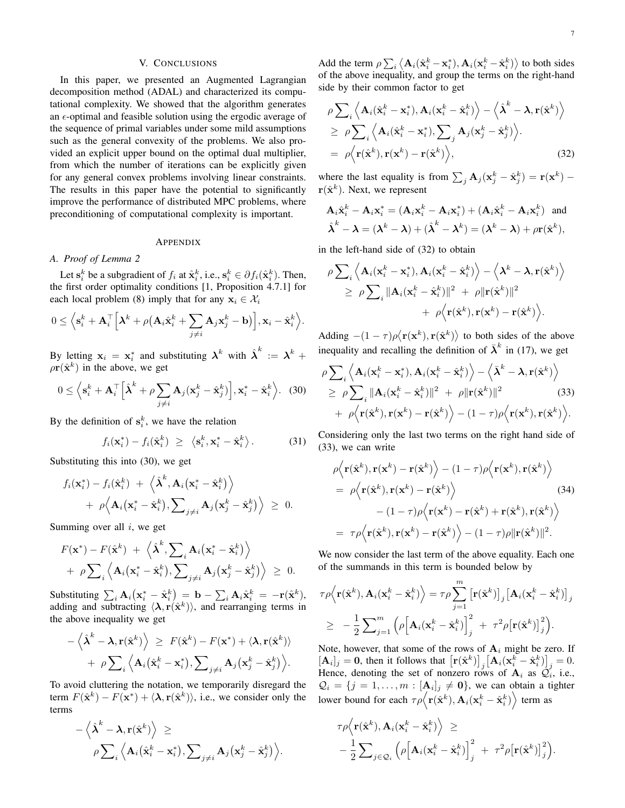## V. CONCLUSIONS

In this paper, we presented an Augmented Lagrangian decomposition method (ADAL) and characterized its computational complexity. We showed that the algorithm generates an  $\epsilon$ -optimal and feasible solution using the ergodic average of the sequence of primal variables under some mild assumptions such as the general convexity of the problems. We also provided an explicit upper bound on the optimal dual multiplier, from which the number of iterations can be explicitly given for any general convex problems involving linear constraints. The results in this paper have the potential to significantly improve the performance of distributed MPC problems, where preconditioning of computational complexity is important.

#### APPENDIX

## *A. Proof of Lemma 2*

Let  $\mathbf{s}_i^k$  be a subgradient of  $f_i$  at  $\hat{\mathbf{x}}_i^k$ , i.e.,  $\mathbf{s}_i^k \in \partial f_i(\hat{\mathbf{x}}_i^k)$ . Then, the first order optimality conditions [1, Proposition 4.7.1] for each local problem (8) imply that for any  $x_i \in \mathcal{X}_i$ 

$$
0 \leq \left\langle \mathbf{s}_i^k + \mathbf{A}_i^\top \Big[ \boldsymbol{\lambda}^k + \rho \big( \mathbf{A}_i \hat{\mathbf{x}}_i^k + \sum_{j \neq i} \mathbf{A}_j \mathbf{x}_j^k - \mathbf{b} \big) \Big], \mathbf{x}_i - \hat{\mathbf{x}}_i^k \right\rangle.
$$

By letting  $x_i = x_i^*$  and substituting  $\lambda^k$  with  $\hat{\lambda}^k := \lambda^k + \lambda^k$  $\rho \mathbf{r}(\hat{\mathbf{x}}^k)$  in the above, we get

$$
0 \le \left\langle \mathbf{s}_i^k + \mathbf{A}_i^\top \left[ \hat{\boldsymbol{\lambda}}^k + \rho \sum_{j \ne i} \mathbf{A}_j (\mathbf{x}_j^k - \hat{\mathbf{x}}_j^k) \right], \mathbf{x}_i^* - \hat{\mathbf{x}}_i^k \right\rangle. \tag{30}
$$

By the definition of  $s_i^k$ , we have the relation

$$
f_i(\mathbf{x}_i^*) - f_i(\hat{\mathbf{x}}_i^k) \ \geq \ \langle \mathbf{s}_i^k, \mathbf{x}_i^* - \hat{\mathbf{x}}_i^k \rangle. \tag{31}
$$

Substituting this into (30), we get

$$
f_i(\mathbf{x}_i^*) - f_i(\hat{\mathbf{x}}_i^k) + \langle \hat{\boldsymbol{\lambda}}^k, \mathbf{A}_i(\mathbf{x}_i^* - \hat{\mathbf{x}}_i^k) \rangle
$$
  
+  $\rho \langle \mathbf{A}_i(\mathbf{x}_i^* - \hat{\mathbf{x}}_i^k), \sum_{j \neq i} \mathbf{A}_j(\mathbf{x}_j^k - \hat{\mathbf{x}}_j^k) \rangle \geq 0.$ 

Summing over all  $i$ , we get

$$
F(\mathbf{x}^*) - F(\hat{\mathbf{x}}^k) + \langle \hat{\boldsymbol{\lambda}}^k, \sum_i \mathbf{A}_i (\mathbf{x}_i^* - \hat{\mathbf{x}}_i^k) \rangle + \rho \sum_i \langle \mathbf{A}_i (\mathbf{x}_i^* - \hat{\mathbf{x}}_i^k), \sum_{j \neq i} \mathbf{A}_j (\mathbf{x}_j^k - \hat{\mathbf{x}}_j^k) \rangle \geq 0.
$$

Substituting  $\sum_i \mathbf{A}_i (\mathbf{x}^*_i - \hat{\mathbf{x}}^k_i) = \mathbf{b} - \sum_i \mathbf{A}_i \hat{\mathbf{x}}^k_i = -\mathbf{r}(\hat{\mathbf{x}}^k)$ , adding and subtracting  $\langle \lambda, r(\hat{x}^k) \rangle$ , and rearranging terms in the above inequality we get

$$
-\langle \hat{\boldsymbol{\lambda}}^k - \boldsymbol{\lambda}, \mathbf{r}(\hat{\mathbf{x}}^k) \rangle \geq F(\hat{\mathbf{x}}^k) - F(\mathbf{x}^*) + \langle \boldsymbol{\lambda}, \mathbf{r}(\hat{\mathbf{x}}^k) \rangle + \rho \sum_i \langle \mathbf{A}_i(\hat{\mathbf{x}}_i^k - \mathbf{x}_i^*), \sum_{j \neq i} \mathbf{A}_j(\mathbf{x}_j^k - \hat{\mathbf{x}}_j^k) \rangle.
$$

To avoid cluttering the notation, we temporarily disregard the term  $F(\hat{\mathbf{x}}^k) - F(\mathbf{x}^*) + \langle \lambda, \mathbf{r}(\hat{\mathbf{x}}^k) \rangle$ , i.e., we consider only the terms

$$
-\left<\hat{\boldsymbol{\lambda}}^k-\boldsymbol{\lambda},\mathbf{r}(\hat{\mathbf{x}}^k)\right>\geq\\ \rho\sum\nolimits_{i}\left<\mathbf{A}_i(\hat{\mathbf{x}}_i^k-\mathbf{x}_i^*),\sum\nolimits_{j\neq i}\mathbf{A}_j(\mathbf{x}_j^k-\hat{\mathbf{x}}_j^k)\right>.
$$

Add the term  $\rho \sum_i \langle A_i(\hat{x}_i^k - x_i^*), A_i(x_i^k - \hat{x}_i^k) \rangle$  to both sides of the above inequality, and group the terms on the right-hand side by their common factor to get

$$
\rho \sum_{i} \left\langle \mathbf{A}_{i}(\hat{\mathbf{x}}_{i}^{k} - \mathbf{x}_{i}^{*}), \mathbf{A}_{i}(\mathbf{x}_{i}^{k} - \hat{\mathbf{x}}_{i}^{k}) \right\rangle - \left\langle \hat{\boldsymbol{\lambda}}^{k} - \boldsymbol{\lambda}, \mathbf{r}(\hat{\mathbf{x}}^{k}) \right\rangle
$$
  
\n
$$
\geq \rho \sum_{i} \left\langle \mathbf{A}_{i}(\hat{\mathbf{x}}_{i}^{k} - \mathbf{x}_{i}^{*}), \sum_{j} \mathbf{A}_{j}(\mathbf{x}_{j}^{k} - \hat{\mathbf{x}}_{j}^{k}) \right\rangle.
$$
  
\n
$$
= \rho \left\langle \mathbf{r}(\hat{\mathbf{x}}^{k}), \mathbf{r}(\mathbf{x}^{k}) - \mathbf{r}(\hat{\mathbf{x}}^{k}) \right\rangle, \tag{32}
$$

where the last equality is from  $\sum_j \mathbf{A}_j (\mathbf{x}_j^k - \hat{\mathbf{x}}_j^k) = \mathbf{r}(\mathbf{x}^k)$  $r(\hat{x}^k)$ . Next, we represent

$$
\mathbf{A}_{i}\hat{\mathbf{x}}_{i}^{k} - \mathbf{A}_{i}\mathbf{x}_{i}^{*} = (\mathbf{A}_{i}\mathbf{x}_{i}^{k} - \mathbf{A}_{i}\mathbf{x}_{i}^{*}) + (\mathbf{A}_{i}\hat{\mathbf{x}}_{i}^{k} - \mathbf{A}_{i}\mathbf{x}_{i}^{k}) \text{ and}
$$

$$
\hat{\boldsymbol{\lambda}}^{k} - \boldsymbol{\lambda} = (\boldsymbol{\lambda}^{k} - \boldsymbol{\lambda}) + (\hat{\boldsymbol{\lambda}}^{k} - \boldsymbol{\lambda}^{k}) = (\boldsymbol{\lambda}^{k} - \boldsymbol{\lambda}) + \rho \mathbf{r}(\hat{\mathbf{x}}^{k}),
$$

in the left-hand side of (32) to obtain

$$
\rho \sum_i \left\langle \mathbf{A}_i(\mathbf{x}_i^k - \mathbf{x}_i^*), \mathbf{A}_i(\mathbf{x}_i^k - \hat{\mathbf{x}}_i^k) \right\rangle - \left\langle \mathbf{\lambda}^k - \mathbf{\lambda}, \mathbf{r}(\hat{\mathbf{x}}^k) \right\rangle
$$
  
\n
$$
\geq \rho \sum_i \|\mathbf{A}_i(\mathbf{x}_i^k - \hat{\mathbf{x}}_i^k)\|^2 + \rho \|\mathbf{r}(\hat{\mathbf{x}}^k)\|^2
$$
  
\n
$$
+ \rho \left\langle \mathbf{r}(\hat{\mathbf{x}}^k), \mathbf{r}(\mathbf{x}^k) - \mathbf{r}(\hat{\mathbf{x}}^k) \right\rangle.
$$

Adding  $-(1 - \tau)\rho \langle \mathbf{r}(\mathbf{x}^k), \mathbf{r}(\hat{\mathbf{x}}^k) \rangle$  to both sides of the above inequality and recalling the definition of  $\bar{\lambda}^k$  in (17), we get

$$
\rho \sum_{i} \left\langle \mathbf{A}_{i}(\mathbf{x}_{i}^{k}-\mathbf{x}_{i}^{*}), \mathbf{A}_{i}(\mathbf{x}_{i}^{k}-\hat{\mathbf{x}}_{i}^{k}) \right\rangle - \left\langle \bar{\mathbf{\lambda}}^{k}-\mathbf{\lambda}, \mathbf{r}(\hat{\mathbf{x}}^{k}) \right\rangle \geq \rho \sum_{i} ||\mathbf{A}_{i}(\mathbf{x}_{i}^{k}-\hat{\mathbf{x}}_{i}^{k})||^{2} + \rho ||\mathbf{r}(\hat{\mathbf{x}}^{k})||^{2}
$$
(33)  
+  $\rho \left\langle \mathbf{r}(\hat{\mathbf{x}}^{k}), \mathbf{r}(\mathbf{x}^{k}) - \mathbf{r}(\hat{\mathbf{x}}^{k}) \right\rangle - (1-\tau)\rho \left\langle \mathbf{r}(\mathbf{x}^{k}), \mathbf{r}(\hat{\mathbf{x}}^{k}) \right\rangle.$ 

Considering only the last two terms on the right hand side of (33), we can write

$$
\rho \Big\langle \mathbf{r}(\hat{\mathbf{x}}^k), \mathbf{r}(\mathbf{x}^k) - \mathbf{r}(\hat{\mathbf{x}}^k) \Big\rangle - (1 - \tau) \rho \Big\langle \mathbf{r}(\mathbf{x}^k), \mathbf{r}(\hat{\mathbf{x}}^k) \Big\rangle \n= \rho \Big\langle \mathbf{r}(\hat{\mathbf{x}}^k), \mathbf{r}(\mathbf{x}^k) - \mathbf{r}(\hat{\mathbf{x}}^k) \Big\rangle
$$
\n(34)  
\n
$$
- (1 - \tau) \rho \Big\langle \mathbf{r}(\mathbf{x}^k) - \mathbf{r}(\hat{\mathbf{x}}^k) + \mathbf{r}(\hat{\mathbf{x}}^k), \mathbf{r}(\hat{\mathbf{x}}^k) \Big\rangle \n= \tau \rho \Big\langle \mathbf{r}(\hat{\mathbf{x}}^k), \mathbf{r}(\mathbf{x}^k) - \mathbf{r}(\hat{\mathbf{x}}^k) \Big\rangle - (1 - \tau) \rho ||\mathbf{r}(\hat{\mathbf{x}}^k)||^2.
$$

We now consider the last term of the above equality. Each one of the summands in this term is bounded below by

$$
\tau \rho \Big\langle \mathbf{r}(\hat{\mathbf{x}}^k), \mathbf{A}_i(\mathbf{x}_i^k - \hat{\mathbf{x}}_i^k) \Big\rangle = \tau \rho \sum_{j=1}^m \big[ \mathbf{r}(\hat{\mathbf{x}}^k) \big]_j \big[ \mathbf{A}_i(\mathbf{x}_i^k - \hat{\mathbf{x}}_i^k) \big]_j
$$
  
\n
$$
\geq -\frac{1}{2} \sum_{j=1}^m \Big( \rho \Big[ \mathbf{A}_i(\mathbf{x}_i^k - \hat{\mathbf{x}}_i^k) \Big]_j^2 + \tau^2 \rho \big[ \mathbf{r}(\hat{\mathbf{x}}^k) \big]_j^2 \Big).
$$

Note, however, that some of the rows of  $A_i$  might be zero. If  $[\mathbf{A}_i]_j = \mathbf{0}$ , then it follows that  $[\mathbf{r}(\hat{\mathbf{x}}^k)]_j [\mathbf{A}_i(\mathbf{x}_i^k - \hat{\mathbf{x}}_i^k)]_j = 0$ . Hence, denoting the set of nonzero rows of  $A_i$  as  $\mathcal{Q}_i$ , i.e.,  $\mathcal{Q}_i = \{j = 1, \dots, m : [\mathbf{A}_i]_j \neq \mathbf{0}\},\$  we can obtain a tighter lower bound for each  $\tau\rho\big\langle \mathbf{r}(\hat{\mathbf{x}}^k), \mathbf{A}_i(\mathbf{x}^k_i - \hat{\mathbf{x}}^k_i) \big\rangle$  term as

$$
\tau \rho \Big\langle \mathbf{r}(\hat{\mathbf{x}}^k), \mathbf{A}_i(\mathbf{x}_i^k - \hat{\mathbf{x}}_i^k) \Big\rangle \geq
$$
  
 
$$
- \frac{1}{2} \sum_{j \in \mathcal{Q}_i} \Big( \rho \Big[ \mathbf{A}_i(\mathbf{x}_i^k - \hat{\mathbf{x}}_i^k) \Big]_j^2 + \tau^2 \rho \big[ \mathbf{r}(\hat{\mathbf{x}}^k) \big]_j^2 \Big).
$$